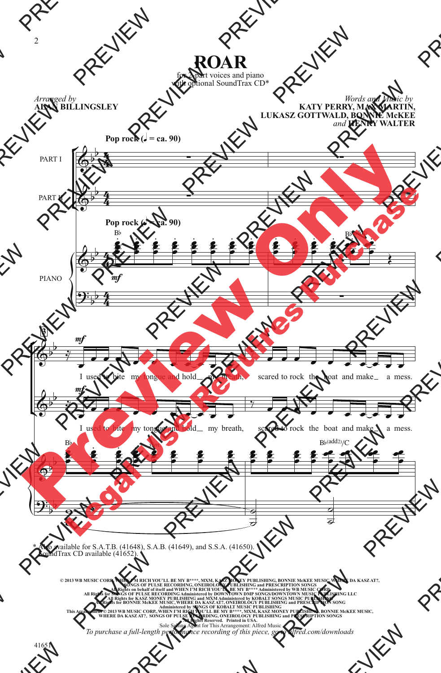## **ROAR**

for 2-part voices and piano with optional SoundTrax CD\*

*Arranged by* **ALAN BILLINGSLEY**

*Words and Music by* **KATY PERRY, MAX MARTIN, LUKASZ GOTTWALD, BONNIE McKEE** *and* **HENRY WALTER**



© 2013 WB MUSIC CORP, WHEN INCH YOU'LL BE MY B<sup>848</sup>\*, MXM, KASZ MONEY PUBLISHING, BONNER MCEE MUSIC, WHERE DA KASZ AT?,<br>All Rights on behalf of itself and WHEN I'M RICH YOU'LL BE MY B3\*\*\* Administered by WB MUSIC CORP.<br>All

- - -

*To purchase a full-length performance recording of this piece, go to alfred.com/downloads*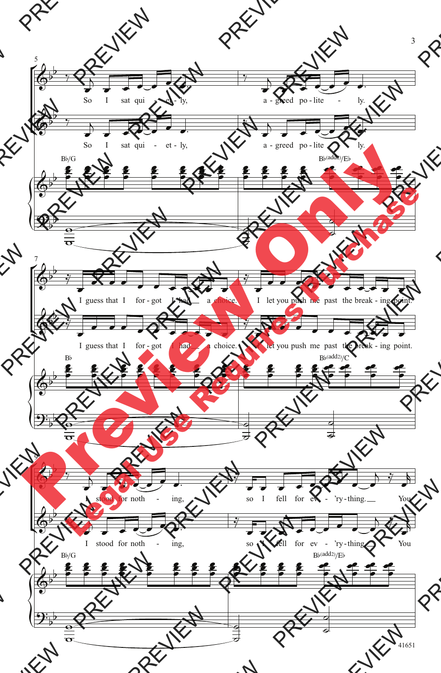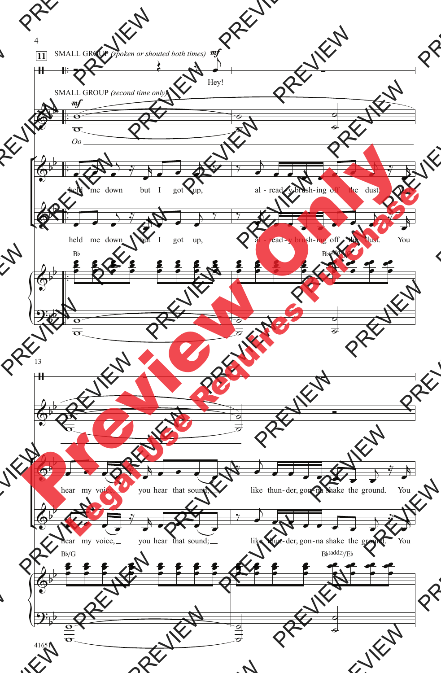

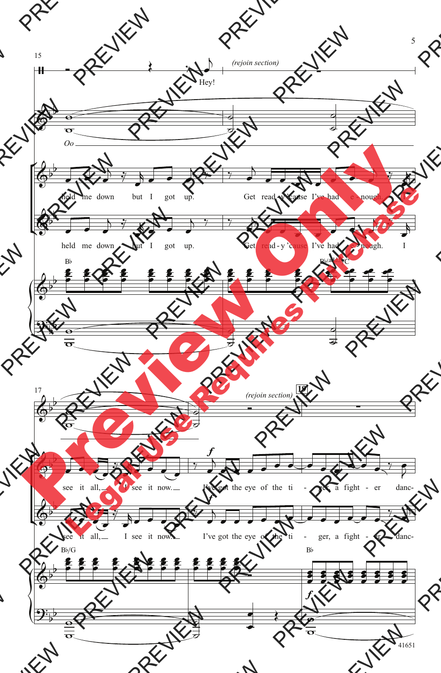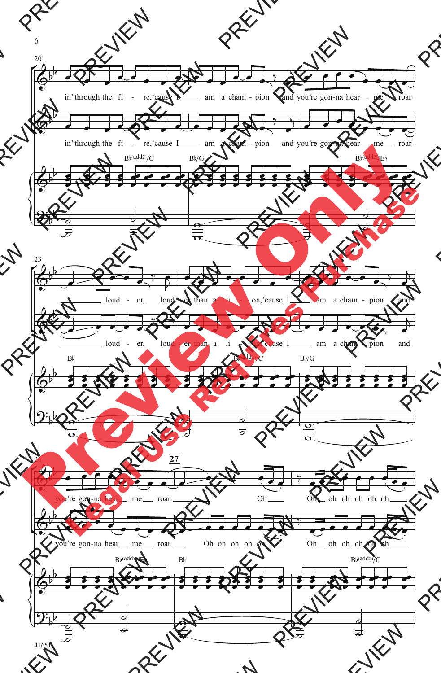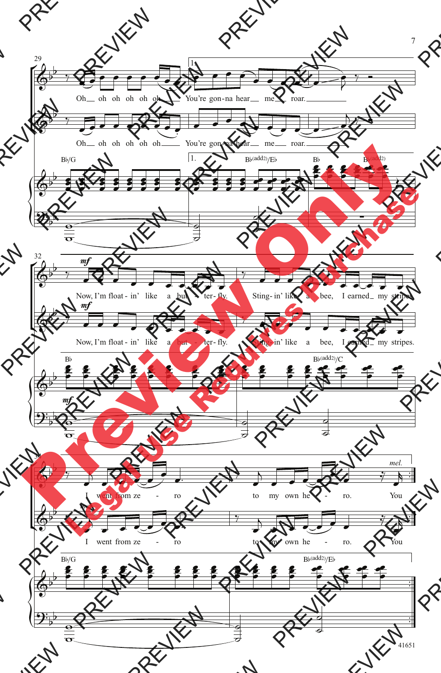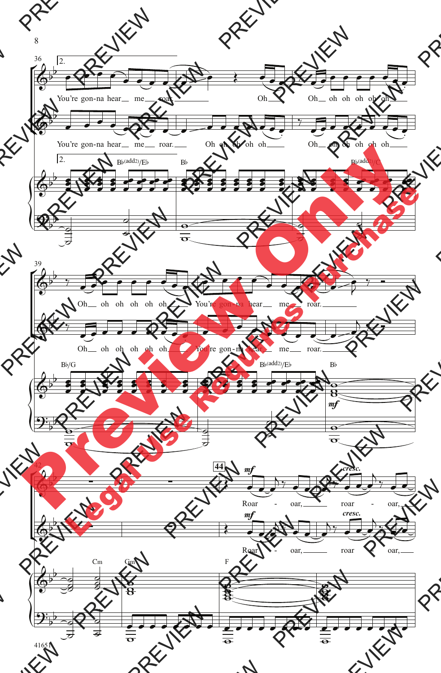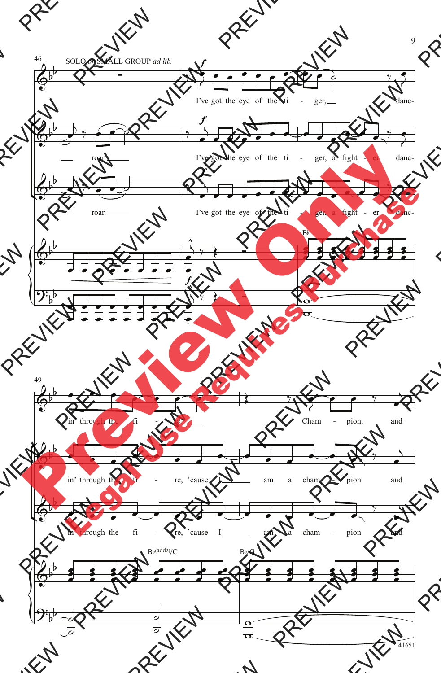

41651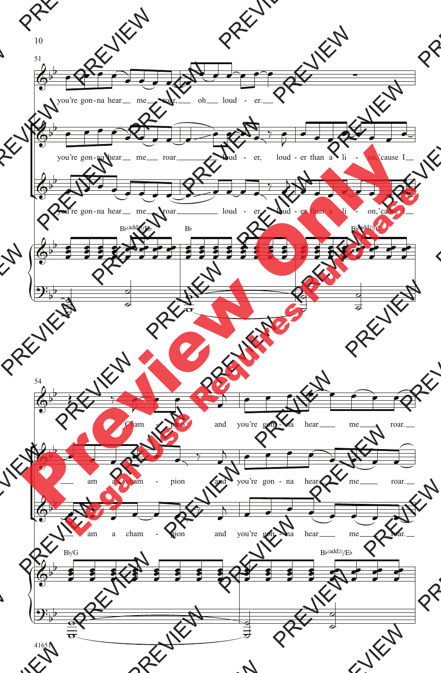

41651

10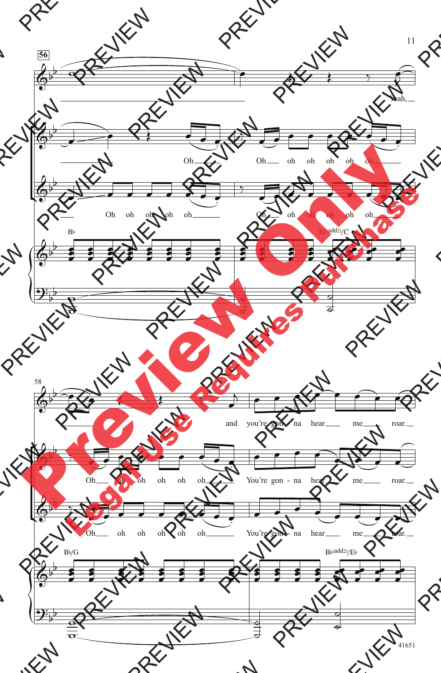![](_page_9_Figure_0.jpeg)